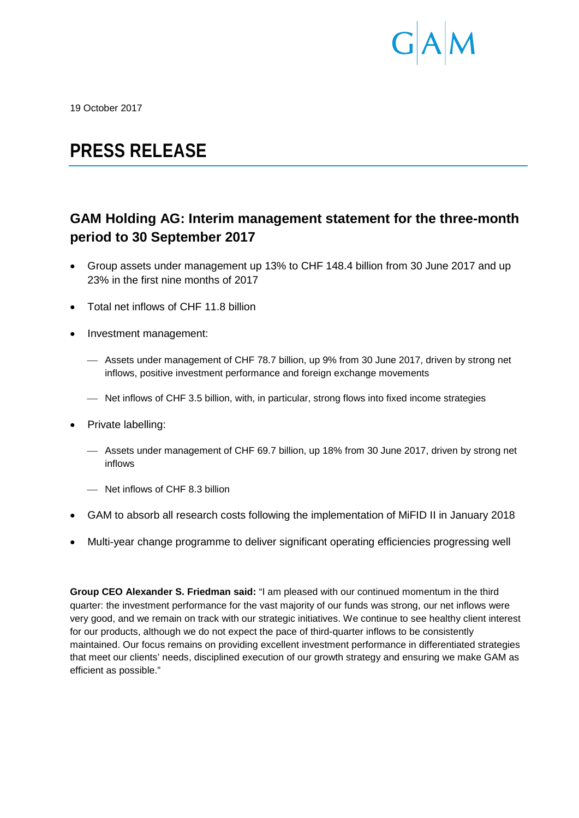

19 October 2017

# **PRESS RELEASE**

## **GAM Holding AG: Interim management statement for the three-month period to 30 September 2017**

- Group assets under management up 13% to CHF 148.4 billion from 30 June 2017 and up 23% in the first nine months of 2017
- Total net inflows of CHF 11.8 billion
- Investment management:
	- Assets under management of CHF 78.7 billion, up 9% from 30 June 2017, driven by strong net inflows, positive investment performance and foreign exchange movements
	- Net inflows of CHF 3.5 billion, with, in particular, strong flows into fixed income strategies
- Private labelling:
	- Assets under management of CHF 69.7 billion, up 18% from 30 June 2017, driven by strong net inflows
	- Net inflows of CHF 8.3 billion
- GAM to absorb all research costs following the implementation of MiFID II in January 2018
- Multi-year change programme to deliver significant operating efficiencies progressing well

**Group CEO Alexander S. Friedman said:** "I am pleased with our continued momentum in the third quarter: the investment performance for the vast majority of our funds was strong, our net inflows were very good, and we remain on track with our strategic initiatives. We continue to see healthy client interest for our products, although we do not expect the pace of third-quarter inflows to be consistently maintained. Our focus remains on providing excellent investment performance in differentiated strategies that meet our clients' needs, disciplined execution of our growth strategy and ensuring we make GAM as efficient as possible."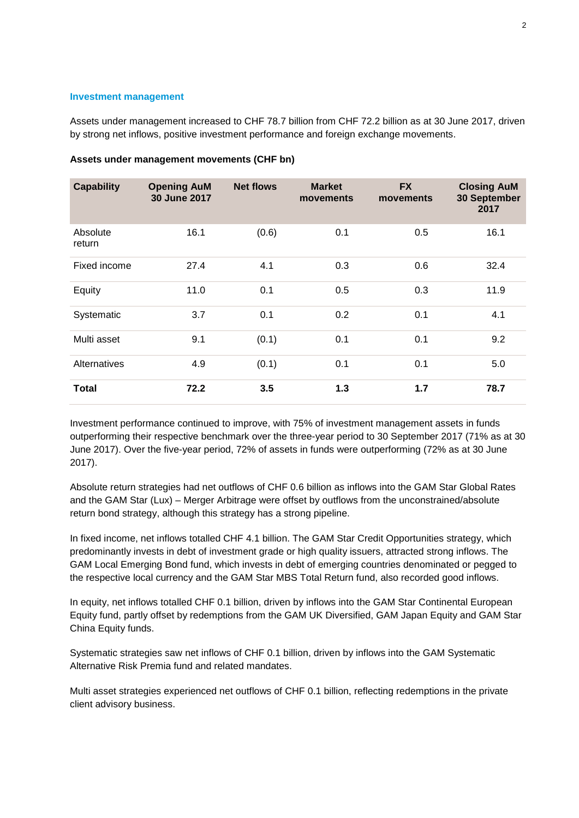### **Investment management**

Assets under management increased to CHF 78.7 billion from CHF 72.2 billion as at 30 June 2017, driven by strong net inflows, positive investment performance and foreign exchange movements.

| <b>Capability</b>  | <b>Opening AuM</b><br>30 June 2017 | <b>Net flows</b> | <b>Market</b><br>movements | <b>FX</b><br>movements | <b>Closing AuM</b><br>30 September<br>2017 |
|--------------------|------------------------------------|------------------|----------------------------|------------------------|--------------------------------------------|
| Absolute<br>return | 16.1                               | (0.6)            | 0.1                        | 0.5                    | 16.1                                       |
| Fixed income       | 27.4                               | 4.1              | 0.3                        | 0.6                    | 32.4                                       |
| Equity             | 11.0                               | 0.1              | 0.5                        | 0.3                    | 11.9                                       |
| Systematic         | 3.7                                | 0.1              | 0.2                        | 0.1                    | 4.1                                        |
| Multi asset        | 9.1                                | (0.1)            | 0.1                        | 0.1                    | 9.2                                        |
| Alternatives       | 4.9                                | (0.1)            | 0.1                        | 0.1                    | 5.0                                        |
| <b>Total</b>       | 72.2                               | 3.5              | $1.3$                      | 1.7                    | 78.7                                       |

### **Assets under management movements (CHF bn)**

Investment performance continued to improve, with 75% of investment management assets in funds outperforming their respective benchmark over the three-year period to 30 September 2017 (71% as at 30 June 2017). Over the five-year period, 72% of assets in funds were outperforming (72% as at 30 June 2017).

Absolute return strategies had net outflows of CHF 0.6 billion as inflows into the GAM Star Global Rates and the GAM Star (Lux) – Merger Arbitrage were offset by outflows from the unconstrained/absolute return bond strategy, although this strategy has a strong pipeline.

In fixed income, net inflows totalled CHF 4.1 billion. The GAM Star Credit Opportunities strategy, which predominantly invests in debt of investment grade or high quality issuers, attracted strong inflows. The GAM Local Emerging Bond fund, which invests in debt of emerging countries denominated or pegged to the respective local currency and the GAM Star MBS Total Return fund, also recorded good inflows.

In equity, net inflows totalled CHF 0.1 billion, driven by inflows into the GAM Star Continental European Equity fund, partly offset by redemptions from the GAM UK Diversified, GAM Japan Equity and GAM Star China Equity funds.

Systematic strategies saw net inflows of CHF 0.1 billion, driven by inflows into the GAM Systematic Alternative Risk Premia fund and related mandates.

Multi asset strategies experienced net outflows of CHF 0.1 billion, reflecting redemptions in the private client advisory business.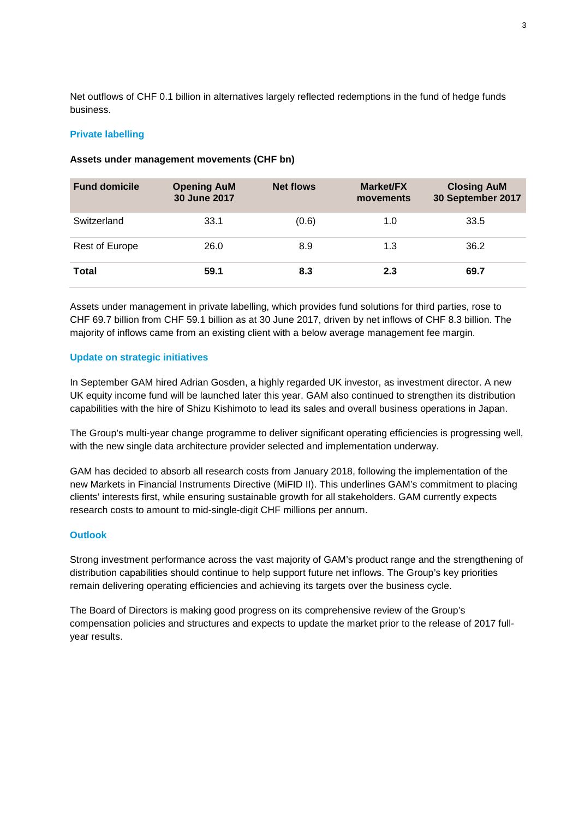Net outflows of CHF 0.1 billion in alternatives largely reflected redemptions in the fund of hedge funds business.

#### **Private labelling**

| <b>Fund domicile</b> | <b>Opening AuM</b><br>30 June 2017 | <b>Net flows</b> | <b>Market/FX</b><br>movements | <b>Closing AuM</b><br>30 September 2017 |
|----------------------|------------------------------------|------------------|-------------------------------|-----------------------------------------|
| Switzerland          | 33.1                               | (0.6)            | 1.0                           | 33.5                                    |
| Rest of Europe       | 26.0                               | 8.9              | 1.3                           | 36.2                                    |
| Total                | 59.1                               | 8.3              | 2.3                           | 69.7                                    |

#### **Assets under management movements (CHF bn)**

Assets under management in private labelling, which provides fund solutions for third parties, rose to CHF 69.7 billion from CHF 59.1 billion as at 30 June 2017, driven by net inflows of CHF 8.3 billion. The majority of inflows came from an existing client with a below average management fee margin.

#### **Update on strategic initiatives**

In September GAM hired Adrian Gosden, a highly regarded UK investor, as investment director. A new UK equity income fund will be launched later this year. GAM also continued to strengthen its distribution capabilities with the hire of Shizu Kishimoto to lead its sales and overall business operations in Japan.

The Group's multi-year change programme to deliver significant operating efficiencies is progressing well. with the new single data architecture provider selected and implementation underway.

GAM has decided to absorb all research costs from January 2018, following the implementation of the new Markets in Financial Instruments Directive (MiFID II). This underlines GAM's commitment to placing clients' interests first, while ensuring sustainable growth for all stakeholders. GAM currently expects research costs to amount to mid-single-digit CHF millions per annum.

#### **Outlook**

Strong investment performance across the vast majority of GAM's product range and the strengthening of distribution capabilities should continue to help support future net inflows. The Group's key priorities remain delivering operating efficiencies and achieving its targets over the business cycle.

The Board of Directors is making good progress on its comprehensive review of the Group's compensation policies and structures and expects to update the market prior to the release of 2017 fullyear results.